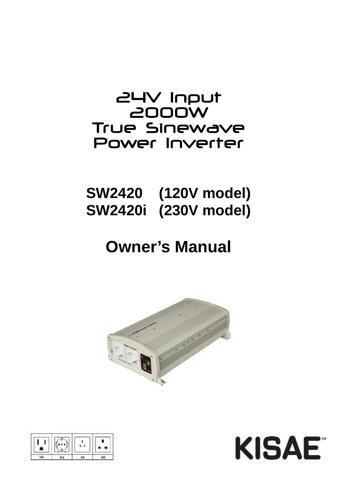## 24V Input 2000W True Sinewave Power Inverter

# **SW2420 (120V model) SW2420i (230V model)**

# **Owner's Manual**





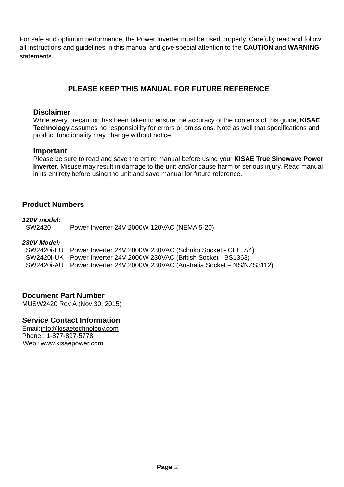For safe and optimum performance, the Power Inverter must be used properly. Carefully read and follow all instructions and guidelines in this manual and give special attention to the **CAUTION** and **WARNING** statements.

## **PLEASE KEEP THIS MANUAL FOR FUTURE REFERENCE**

#### **Disclaimer**

While every precaution has been taken to ensure the accuracy of the contents of this guide, **KISAE Technology** assumes no responsibility for errors or omissions. Note as well that specifications and product functionality may change without notice.

#### **Important**

Please be sure to read and save the entire manual before using your **KISAE True Sinewave Power Inverter.** Misuse may result in damage to the unit and/or cause harm or serious injury. Read manual in its entirety before using the unit and save manual for future reference.

#### **Product Numbers**

#### *120V model:*

SW2420 Power Inverter 24V 2000W 120VAC (NEMA 5-20)

#### *230V Model:*

| SW2420i-EU Power Inverter 24V 2000W 230VAC (Schuko Socket - CEE 7/4)       |
|----------------------------------------------------------------------------|
| SW2420i-UK Power Inverter 24V 2000W 230VAC (British Socket - BS1363)       |
| SW2420i-AU Power Inverter 24V 2000W 230VAC (Australia Socket – NS/NZS3112) |

#### **Document Part Number**

MUSW2420 Rev A (Nov 30, 2015)

#### **Service Contact Information**

Email: info@kisaetechnology.com Phone : 1-877-897-5778 Web : www.kisaepower.com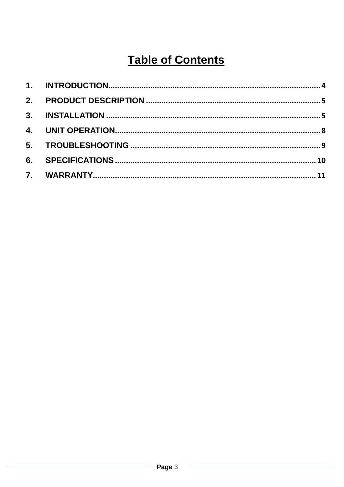## **Table of Contents**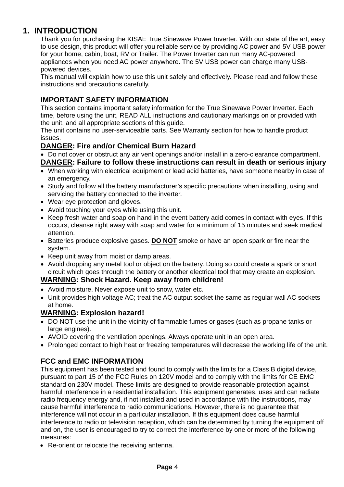## **1. INTRODUCTION**

Thank you for purchasing the KISAE True Sinewave Power Inverter. With our state of the art, easy to use design, this product will offer you reliable service by providing AC power and 5V USB power for your home, cabin, boat, RV or Trailer. The Power Inverter can run many AC-powered appliances when you need AC power anywhere. The 5V USB power can charge many USBpowered devices.

This manual will explain how to use this unit safely and effectively. Please read and follow these instructions and precautions carefully.

#### **IMPORTANT SAFETY INFORMATION**

This section contains important safety information for the True Sinewave Power Inverter. Each time, before using the unit, READ ALL instructions and cautionary markings on or provided with the unit, and all appropriate sections of this guide.

The unit contains no user-serviceable parts. See Warranty section for how to handle product issues.

#### **DANGER: Fire and/or Chemical Burn Hazard**

- Do not cover or obstruct any air vent openings and/or install in a zero-clearance compartment.
- **DANGER: Failure to follow these instructions can result in death or serious injury**
- When working with electrical equipment or lead acid batteries, have someone nearby in case of an emergency.
- Study and follow all the battery manufacturer's specific precautions when installing, using and servicing the battery connected to the inverter.
- Wear eye protection and gloves.
- Avoid touching your eyes while using this unit.
- Keep fresh water and soap on hand in the event battery acid comes in contact with eyes. If this occurs, cleanse right away with soap and water for a minimum of 15 minutes and seek medical attention.
- Batteries produce explosive gases. **DO NOT** smoke or have an open spark or fire near the system.
- Keep unit away from moist or damp areas.
- Avoid dropping any metal tool or object on the battery. Doing so could create a spark or short circuit which goes through the battery or another electrical tool that may create an explosion.

#### **WARNING: Shock Hazard. Keep away from children!**

- Avoid moisture. Never expose unit to snow, water etc.
- Unit provides high voltage AC; treat the AC output socket the same as regular wall AC sockets at home.

#### **WARNING: Explosion hazard!**

- DO NOT use the unit in the vicinity of flammable fumes or gases (such as propane tanks or large engines).
- AVOID covering the ventilation openings. Always operate unit in an open area.
- Prolonged contact to high heat or freezing temperatures will decrease the working life of the unit.

## **FCC and EMC INFORMATION**

This equipment has been tested and found to comply with the limits for a Class B digital device, pursuant to part 15 of the FCC Rules on 120V model and to comply with the limits for CE EMC standard on 230V model. These limits are designed to provide reasonable protection against harmful interference in a residential installation. This equipment generates, uses and can radiate radio frequency energy and, if not installed and used in accordance with the instructions, may cause harmful interference to radio communications. However, there is no guarantee that interference will not occur in a particular installation. If this equipment does cause harmful interference to radio or television reception, which can be determined by turning the equipment off and on, the user is encouraged to try to correct the interference by one or more of the following measures:

• Re-orient or relocate the receiving antenna.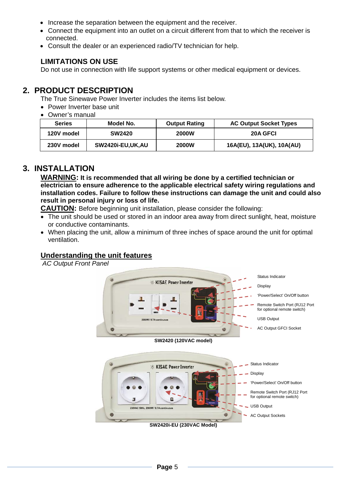- Increase the separation between the equipment and the receiver.
- Connect the equipment into an outlet on a circuit different from that to which the receiver is connected.
- Consult the dealer or an experienced radio/TV technician for help.

#### **LIMITATIONS ON USE**

Do not use in connection with life support systems or other medical equipment or devices.

## **2. PRODUCT DESCRIPTION**

The True Sinewave Power Inverter includes the items list below.

- Power Inverter base unit
- Owner's manual

| <b>Series</b> | Model No.        | <b>Output Rating</b> | <b>AC Output Socket Types</b> |
|---------------|------------------|----------------------|-------------------------------|
| 120V model    | <b>SW2420</b>    | <b>2000W</b>         | 20A GFCI                      |
| 230V model    | SW2420i-EU,UK,AU | <b>2000W</b>         | 16A(EU), 13A(UK), 10A(AU)     |

## **3. INSTALLATION**

**WARNING: It is recommended that all wiring be done by a certified technician or electrician to ensure adherence to the applicable electrical safety wiring regulations and installation codes. Failure to follow these instructions can damage the unit and could also result in personal injury or loss of life.**

**CAUTION:** Before beginning unit installation, please consider the following:

- The unit should be used or stored in an indoor area away from direct sunlight, heat, moisture or conductive contaminants.
- When placing the unit, allow a minimum of three inches of space around the unit for optimal ventilation.

## **Understanding the unit features**

*AC Output Front Panel* 





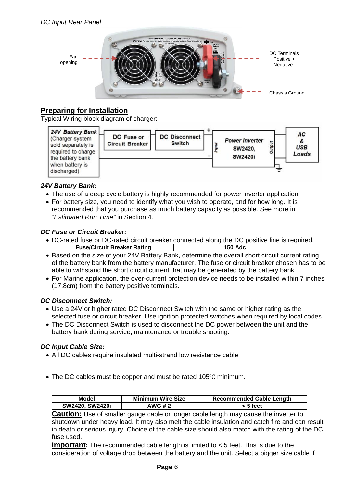

## **Preparing for Installation**

Typical Wiring block diagram of charger:



#### *24V Battery Bank:*

- The use of a deep cycle battery is highly recommended for power inverter application
- For battery size, you need to identify what you wish to operate, and for how long. It is recommended that you purchase as much battery capacity as possible. See more in "*Estimated Run Time"* in Section 4.

#### *DC Fuse or Circuit Breaker:*

- DC-rated fuse or DC-rated circuit breaker connected along the DC positive line is required. **Fuse/Circuit Breaker Rating 150 Adc**
- Based on the size of your 24V Battery Bank, determine the overall short circuit current rating of the battery bank from the battery manufacturer. The fuse or circuit breaker chosen has to be able to withstand the short circuit current that may be generated by the battery bank
- For Marine application, the over-current protection device needs to be installed within 7 inches (17.8cm) from the battery positive terminals.

#### *DC Disconnect Switch:*

- Use a 24V or higher rated DC Disconnect Switch with the same or higher rating as the selected fuse or circuit breaker. Use ignition protected switches when required by local codes.
- The DC Disconnect Switch is used to disconnect the DC power between the unit and the battery bank during service, maintenance or trouble shooting.

#### *DC Input Cable Size:*

- All DC cables require insulated multi-strand low resistance cable.
- The DC cables must be copper and must be rated 105°C minimum.

| Model           | <b>Minimum Wire Size</b> | <b>Recommended Cable Length</b> |
|-----------------|--------------------------|---------------------------------|
| SW2420, SW2420i | AWG # 2                  | < 5 feet                        |

**Caution:** Use of smaller gauge cable or longer cable length may cause the inverter to shutdown under heavy load. It may also melt the cable insulation and catch fire and can result in death or serious injury. Choice of the cable size should also match with the rating of the DC fuse used.

**Important:** The recommended cable length is limited to < 5 feet. This is due to the consideration of voltage drop between the battery and the unit. Select a bigger size cable if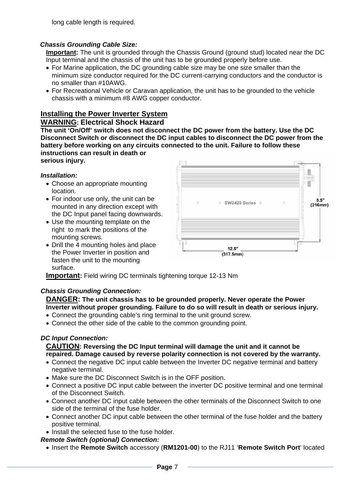long cable length is required.

#### *Chassis Grounding Cable Size:*

**Important:** The unit is grounded through the Chassis Ground (ground stud) located near the DC Input terminal and the chassis of the unit has to be grounded properly before use.

- For Marine application, the DC grounding cable size may be one size smaller than the minimum size conductor required for the DC current-carrying conductors and the conductor is no smaller than #10AWG.
- For Recreational Vehicle or Caravan application, the unit has to be grounded to the vehicle chassis with a minimum #8 AWG copper conductor.

## **Installing the Power Inverter System**

#### **WARNING: Electrical Shock Hazard**

**The unit 'On/Off' switch does not disconnect the DC power from the battery. Use the DC Disconnect Switch or disconnect the DC input cables to disconnect the DC power from the battery before working on any circuits connected to the unit. Failure to follow these instructions can result in death or** 

**serious injury.** 

#### *Installation:*

- Choose an appropriate mounting location.
- For indoor use only, the unit can be mounted in any direction except with the DC Input panel facing downwards.
- Use the mounting template on the right to mark the positions of the mounting screws.
- Drill the 4 mounting holes and place the Power Inverter in position and fasten the unit to the mounting surface.



**Important:** Field wiring DC terminals tightening torque 12-13 Nm

#### *Chassis Grounding Connection:*

**DANGER: The unit chassis has to be grounded properly. Never operate the Power Inverter without proper grounding. Failure to do so will result in death or serious injury.** 

- Connect the grounding cable's ring terminal to the unit ground screw.
- Connect the other side of the cable to the common grounding point.

#### *DC Input Connection:*

#### **CAUTION: Reversing the DC Input terminal will damage the unit and it cannot be repaired. Damage caused by reverse polarity connection is not covered by the warranty.**

- Connect the negative DC input cable between the Inverter DC negative terminal and battery negative terminal.
- Make sure the DC Disconnect Switch is in the OFF position.
- Connect a positive DC input cable between the inverter DC positive terminal and one terminal of the Disconnect Switch.
- Connect another DC input cable between the other terminals of the Disconnect Switch to one side of the terminal of the fuse holder.
- Connect another DC input cable between the other terminal of the fuse holder and the battery positive terminal.
- Install the selected fuse to the fuse holder.

#### *Remote Switch (optional) Connection:*

• Insert the **Remote Switch** accessory (**RM1201-00**) to the RJ11 '**Remote Switch Port**' located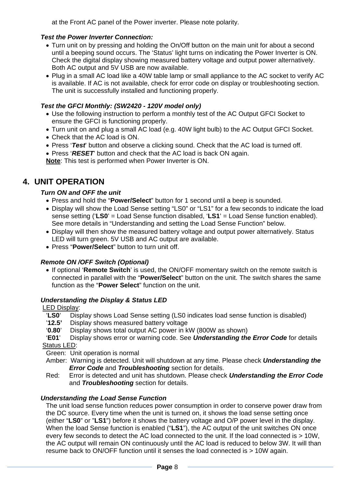at the Front AC panel of the Power inverter. Please note polarity.

#### *Test the Power Inverter Connection:*

- Turn unit on by pressing and holding the On/Off button on the main unit for about a second until a beeping sound occurs. The 'Status' light turns on indicating the Power Inverter is ON. Check the digital display showing measured battery voltage and output power alternatively. Both AC output and 5V USB are now available.
- Plug in a small AC load like a 40W table lamp or small appliance to the AC socket to verify AC is available. If AC is not available, check for error code on display or troubleshooting section. The unit is successfully installed and functioning properly.

### *Test the GFCI Monthly: (SW2420 - 120V model only)*

- Use the following instruction to perform a monthly test of the AC Output GFCI Socket to ensure the GFCI is functioning properly.
- Turn unit on and plug a small AC load (e.g. 40W light bulb) to the AC Output GFCI Socket.
- Check that the AC load is ON.
- Press '*Test*' button and observe a clicking sound. Check that the AC load is turned off.
- Press '*RESET*' button and check that the AC load is back ON again.

**Note**: This test is performed when Power Inverter is ON.

## **4. UNIT OPERATION**

### *Turn ON and OFF the unit*

- Press and hold the "**Power/Select**" button for 1 second until a beep is sounded.
- Display will show the Load Sense setting "LS0" or "LS1" for a few seconds to indicate the load sense setting ('**LS0**' = Load Sense function disabled, '**LS1**' = Load Sense function enabled). See more details in "Understanding and setting the Load Sense Function" below.
- Display will then show the measured battery voltage and output power alternatively. Status LED will turn green. 5V USB and AC output are available.
- Press "**Power/Select**" button to turn unit off.

## *Remote ON /OFF Switch (Optional)*

• If optional '**Remote Switch**' is used, the ON/OFF momentary switch on the remote switch is connected in parallel with the "**Power/Select**" button on the unit. The switch shares the same function as the "**Power Select**" function on the unit.

#### *Understanding the Display & Status LED*

#### LED Display:

- '**LS0**' Display shows Load Sense setting (LS0 indicates load sense function is disabled)
- '**12.5'** Display shows measured battery voltage
- '**0.80**' Display shows total output AC power in kW (800W as shown)
- '**E01**' Display shows error or warning code. See *Understanding the Error Code* for details Status LED:
- Green: Unit operation is normal
- Amber: Warning is detected. Unit will shutdown at any time. Please check *Understanding the Error Code* and *Troubleshooting* section for details.
- Red: Error is detected and unit has shutdown. Please check *Understanding the Error Code* and *Troubleshooting* section for details.

## *Understanding the Load Sense Function*

The unit load sense function reduces power consumption in order to conserve power draw from the DC source. Every time when the unit is turned on, it shows the load sense setting once (either "**LS0**" or "**LS1**") before it shows the battery voltage and O/P power level in the display. When the load Sense function is enabled ("**LS1**"), the AC output of the unit switches ON once every few seconds to detect the AC load connected to the unit. If the load connected is > 10W, the AC output will remain ON continuously until the AC load is reduced to below 3W. It will than resume back to ON/OFF function until it senses the load connected is > 10W again.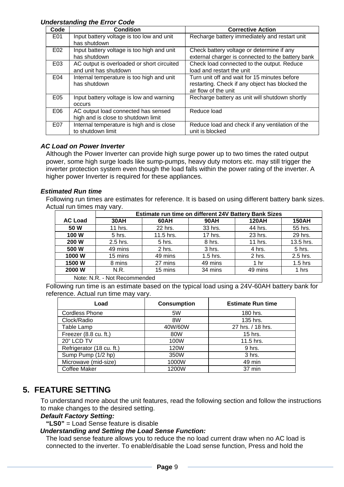#### *Understanding the Error Code*

| Code | <b>Condition</b>                                                           | <b>Corrective Action</b>                                                                                                |
|------|----------------------------------------------------------------------------|-------------------------------------------------------------------------------------------------------------------------|
| E01  | Input battery voltage is too low and unit<br>has shutdown                  | Recharge battery immediately and restart unit                                                                           |
| E02  | Input battery voltage is too high and unit<br>has shutdown                 | Check battery voltage or determine if any<br>external charger is connected to the battery bank                          |
| E03  | AC output is overloaded or short circuited<br>and unit has shutdown        | Check load connected to the output. Reduce<br>load and restart the unit                                                 |
| E04  | Internal temperature is too high and unit<br>has shutdown                  | Turn unit off and wait for 15 minutes before<br>restarting. Check if any object has blocked the<br>air flow of the unit |
| E05  | Input battery voltage is low and warning<br><b>OCCULS</b>                  | Recharge battery as unit will shutdown shortly                                                                          |
| E06  | AC output load connected has sensed<br>high and is close to shutdown limit | Reduce load                                                                                                             |
| E07  | Internal temperature is high and is close<br>to shutdown limit             | Reduce load and check if any ventilation of the<br>unit is blocked                                                      |

#### *AC Load on Power Inverter*

Although the Power Inverter can provide high surge power up to two times the rated output power, some high surge loads like sump-pumps, heavy duty motors etc. may still trigger the inverter protection system even though the load falls within the power rating of the inverter. A higher power Inverter is required for these appliances.

#### *Estimated Run time*

Following run times are estimates for reference. It is based on using different battery bank sizes. Actual run times may vary.

|                           | Estimate run time on different 24V Battery Bank Sizes |           |             |                 |              |
|---------------------------|-------------------------------------------------------|-----------|-------------|-----------------|--------------|
| <b>AC Load</b>            | 30AH                                                  | 60AH      | <b>90AH</b> | <b>120AH</b>    | <b>150AH</b> |
| 50 W                      | 11 hrs.                                               | 22 hrs.   | 33 hrs.     | 44 hrs.         | 55 hrs.      |
| 100 W                     | 5 hrs.                                                | 11.5 hrs. | 17 hrs.     | 23 hrs.         | 29 hrs.      |
| 200 W                     | 2.5 hrs.                                              | 5 hrs.    | 8 hrs.      | 11 hrs.         | 13.5 hrs.    |
| 500 W                     | 49 mins                                               | 2 hrs.    | 3 hrs.      | 4 hrs.          | 5 hrs.       |
| 1000W                     | 15 mins                                               | 49 mins   | $1.5$ hrs.  | 2 hrs.          | 2.5 hrs.     |
| 1500 W                    | 8 mins                                                | 27 mins   | 49 mins     | 1 <sub>hr</sub> | $1.5$ hrs    |
| 2000 W                    | N.R.                                                  | 15 mins   | 34 mins     | 49 mins         | 1 hrs        |
| $N = 0$<br>Not Decempeded |                                                       |           |             |                 |              |

Note: N.R. - Not Recommended

Following run time is an estimate based on the typical load using a 24V-60AH battery bank for reference. Actual run time may vary.

| Load                      | <b>Consumption</b> | <b>Estimate Run time</b> |
|---------------------------|--------------------|--------------------------|
| <b>Cordless Phone</b>     | 5W                 | 180 hrs.                 |
| Clock/Radio               | 8W                 | 135 hrs.                 |
| Table Lamp                | 40W/60W            | 27 hrs. / 18 hrs.        |
| Freezer (8.8 cu. ft.)     | 80W                | 15 hrs.                  |
| 20" LCD TV                | 100W               | 11.5 hrs.                |
| Refrigerator (18 cu. ft.) | 120W               | 9 hrs.                   |
| Sump Pump (1/2 hp)        | 350W               | 3 hrs.                   |
| Microwave (mid-size)      | 1000W              | 49 min                   |
| Coffee Maker              | 1200W              | 37 min                   |

## **5. FEATURE SETTING**

To understand more about the unit features, read the following section and follow the instructions to make changes to the desired setting.

#### *Default Factory Setting:*

**"LS0"** = Load Sense feature is disable

#### *Understanding and Setting the Load Sense Function:*

The load sense feature allows you to reduce the no load current draw when no AC load is connected to the inverter. To enable/disable the Load sense function, Press and hold the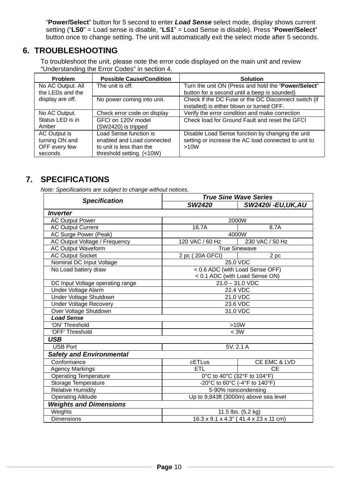"**Power/Select**" button for 5 second to enter *Load Sense* select mode, display shows current setting ("**LS0**" = Load sense is disable, "**LS1**" = Load Sense is disable). Press "**Power/Select**" button once to change setting. The unit will automatically exit the select mode after 5 seconds.

## **6. TROUBLESHOOTING**

To troubleshoot the unit, please note the error code displayed on the main unit and review "Understanding the Error Codes" in section 4.

| Problem           | <b>Possible Cause/Condition</b> | <b>Solution</b>                                                                                   |
|-------------------|---------------------------------|---------------------------------------------------------------------------------------------------|
| No AC Output. All | The unit is off.                | Turn the unit ON (Press and hold the "Power/Select"                                               |
| the LEDs and the  |                                 | button for a second until a beep is sounded)                                                      |
| display are off.  | No power coming into unit.      | Check if the DC Fuse or the DC Disconnect switch (if<br>installed) is either blown or turned OFF. |
| No AC Output.     | Check error code on display     | Verify the error condition and make correction                                                    |
| Status LED is in  | GFCI on 120V model              | Check load for Ground Fault and reset the GFCI                                                    |
| Amber             | (SW2420) is tripped             |                                                                                                   |
| AC Output is      | Load Sense function is          | Disable Load Sense function by changing the unit                                                  |
| turning ON and    | enabled and Load connected      | setting or increase the AC load connected to unit to                                              |
| OFF every few     | to unit is less than the        | >10W                                                                                              |
| seconds           | threshold setting. (<10W)       |                                                                                                   |

## **7. SPECIFICATIONS**

*Note: Specifications are subject to change without notices.* 

| <b>Specification</b>                                               | <b>True Sine Wave Series</b>          |                                 |  |
|--------------------------------------------------------------------|---------------------------------------|---------------------------------|--|
|                                                                    | SW2420                                | <b>SW2420i -EU,UK,AU</b>        |  |
| Inverter                                                           |                                       |                                 |  |
| <b>AC Output Power</b>                                             |                                       | 2000W                           |  |
| <b>AC Output Current</b>                                           | 16.7A                                 | 8.7A                            |  |
| AC Surge Power (Peak)                                              |                                       | 4000W                           |  |
| AC Output Voltage / Frequency                                      | 120 VAC / 60 Hz                       | 230 VAC / 50 Hz                 |  |
| <b>AC Output Waveform</b>                                          |                                       | <b>True Sinewave</b>            |  |
| <b>AC Output Socket</b>                                            | 2 pc (20A GFCI)                       | 2 pc                            |  |
| Nominal DC Input Voltage                                           |                                       | 25.0 VDC                        |  |
| No Load battery draw                                               |                                       | < 0.6 ADC (with Load Sense OFF) |  |
|                                                                    |                                       | < 0.1 ADC (with Load Sense ON)  |  |
| DC Input Voltage operating range                                   |                                       | $21.0 - 31.0$ VDC               |  |
| Under Voltage Alarm                                                |                                       | 22.4 VDC                        |  |
| Under Voltage Shutdown                                             | 21.0 VDC                              |                                 |  |
| <b>Under Voltage Recovery</b>                                      | 23.6 VDC                              |                                 |  |
| Over Voltage Shutdown                                              | 31.0 VDC                              |                                 |  |
| <b>Load Sense</b>                                                  |                                       |                                 |  |
| 'ON' Threshold                                                     | >10W                                  |                                 |  |
| 'OFF' Threshold<br>$<$ 3W                                          |                                       |                                 |  |
| <b>USB</b>                                                         |                                       |                                 |  |
| <b>USB Port</b>                                                    | 5V, 2.1 A                             |                                 |  |
| <b>Safety and Environmental</b>                                    |                                       |                                 |  |
| Conformance                                                        | cETLus                                |                                 |  |
| <b>Agency Markings</b>                                             | ETL                                   | <b>CE</b>                       |  |
| <b>Operating Temperature</b>                                       | 0°C to 40°C (32°F to 104°F)           |                                 |  |
| Storage Temperature                                                | -20°C to 60°C (-4°F to 140°F)         |                                 |  |
| <b>Relative Humidity</b>                                           | 5-90% noncondensing                   |                                 |  |
| Up to 9,843ft (3000m) above sea level<br><b>Operating Altitude</b> |                                       |                                 |  |
| <b>Weights and Dimensions</b>                                      |                                       |                                 |  |
| Weights                                                            | 11.5 lbs. (5.2 kg)                    |                                 |  |
| <b>Dimensions</b>                                                  | 16.3 x 9.1 x 4.3" (41.4 x 23 x 11 cm) |                                 |  |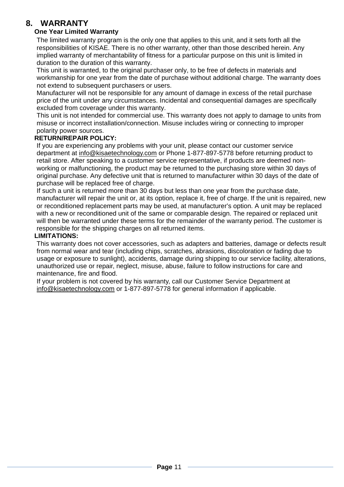## **8. WARRANTY**

#### **One Year Limited Warranty**

The limited warranty program is the only one that applies to this unit, and it sets forth all the responsibilities of KISAE. There is no other warranty, other than those described herein. Any implied warranty of merchantability of fitness for a particular purpose on this unit is limited in duration to the duration of this warranty.

This unit is warranted, to the original purchaser only, to be free of defects in materials and workmanship for one year from the date of purchase without additional charge. The warranty does not extend to subsequent purchasers or users.

Manufacturer will not be responsible for any amount of damage in excess of the retail purchase price of the unit under any circumstances. Incidental and consequential damages are specifically excluded from coverage under this warranty.

This unit is not intended for commercial use. This warranty does not apply to damage to units from misuse or incorrect installation/connection. Misuse includes wiring or connecting to improper polarity power sources.

#### **RETURN/REPAIR POLICY:**

If you are experiencing any problems with your unit, please contact our customer service department at info@kisaetechnology.com or Phone 1-877-897-5778 before returning product to retail store. After speaking to a customer service representative, if products are deemed nonworking or malfunctioning, the product may be returned to the purchasing store within 30 days of original purchase. Any defective unit that is returned to manufacturer within 30 days of the date of purchase will be replaced free of charge.

If such a unit is returned more than 30 days but less than one year from the purchase date, manufacturer will repair the unit or, at its option, replace it, free of charge. If the unit is repaired, new or reconditioned replacement parts may be used, at manufacturer's option. A unit may be replaced with a new or reconditioned unit of the same or comparable design. The repaired or replaced unit will then be warranted under these terms for the remainder of the warranty period. The customer is responsible for the shipping charges on all returned items.

#### **LIMITATIONS:**

This warranty does not cover accessories, such as adapters and batteries, damage or defects result from normal wear and tear (including chips, scratches, abrasions, discoloration or fading due to usage or exposure to sunlight), accidents, damage during shipping to our service facility, alterations, unauthorized use or repair, neglect, misuse, abuse, failure to follow instructions for care and maintenance, fire and flood.

If your problem is not covered by his warranty, call our Customer Service Department at info@kisaetechnology.com or 1-877-897-5778 for general information if applicable.